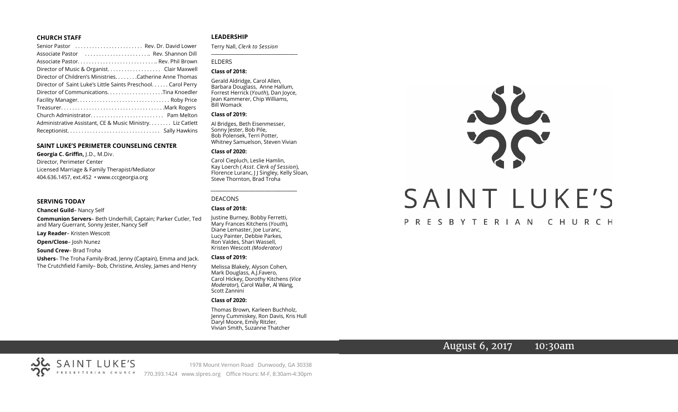#### **CHURCH STAFF**

| Senior Pastor  Rev. Dr. David Lower                          |
|--------------------------------------------------------------|
| Associate Pastor  Rev. Shannon Dill                          |
|                                                              |
| Director of Music & Organist. Clair Maxwell                  |
| Director of Children's Ministries. Catherine Anne Thomas     |
| Director of Saint Luke's Little Saints Preschool Carol Perry |
|                                                              |
|                                                              |
|                                                              |
|                                                              |
| Administrative Assistant, CE & Music Ministry Liz Catlett    |
|                                                              |

#### **SAINT LUKE'S PERIMETER COUNSELING CENTER**

**Georgia C. Griffin,** J.D., M.Div. Director, Perimeter Center Licensed Marriage & Family Therapist/Mediator 404.636.1457, ext.452 • www.cccgeorgia.org

#### **SERVING TODAY**

**Chancel Guild**– Nancy Self

**Communion Servers**– Beth Underhill, Captain; Parker Cutler, Ted and Mary Guerrant, Sonny Jester, Nancy Self

**Lay Reader**– Kristen Wescott

**Open/Close**– Josh Nunez

**Sound Crew**– Brad Troha

**Ushers**– The Troha Family-Brad, Jenny (Captain), Emma and Jack. The Crutchfield Family– Bob, Christine, Ansley, James and Henry

#### **LEADERSHIP**

Terry Nall, *Clerk to Session*  **\_\_\_\_\_\_\_\_\_\_\_\_\_\_\_\_\_\_\_\_\_\_\_\_\_\_\_\_\_\_\_\_\_\_\_\_\_\_\_**

#### ELDERS

#### **Class of 2018:**

Gerald Aldridge, Carol Allen, Barbara Douglass, Anne Hallum, Forrest Herrick (*Youth*), Dan Joyce, Jean Kammerer, Chip Williams, Bill Womack

#### **Class of 2019:**

Al Bridges, Beth Eisenmesser, Sonny Jester, Bob Pile, Bob Polensek, Terri Potter, Whitney Samuelson, Steven Vivian

#### **Class of 2020:**

Carol Ciepluch, Leslie Hamlin, Kay Loerch ( *Asst. Clerk of Session*), Florence Luranc, J J Singley, Kelly Sloan, Steve Thornton, Brad Troha

*\_\_\_\_\_\_\_\_\_\_\_\_\_\_\_\_\_\_\_\_\_\_\_\_\_\_\_\_\_\_\_\_\_\_\_\_\_*

#### DEACONS

#### **Class of 2018:**

Justine Burney, Bobby Ferretti, Mary Frances Kitchens (*Youth*), Diane Lemaster, Joe Luranc, Lucy Painter, Debbie Parkes, Ron Valdes, Shari Wassell, Kristen Wescott *(Moderator)*

#### **Class of 2019:**

Melissa Blakely, Alyson Cohen, Mark Douglass, A.J.Favero, Carol Hickey, Dorothy Kitchens (*Vice Moderator*), Carol Waller, Al Wang, Scott Zannini

#### **Class of 2020:**

Thomas Brown, Karleen Buchholz, Jenny Cummiskey, Ron Davis, Kris Hull Daryl Moore, Emily Ritzler, Vivian Smith, Suzanne Thatcher



### PRESBYTERIAN CHURCH

# August 6, 2017 10:30am



1978 Mount Vernon Road Dunwoody, GA 30338 770.393.1424 www.slpres.org Office Hours: M-F, 8:30am-4:30pm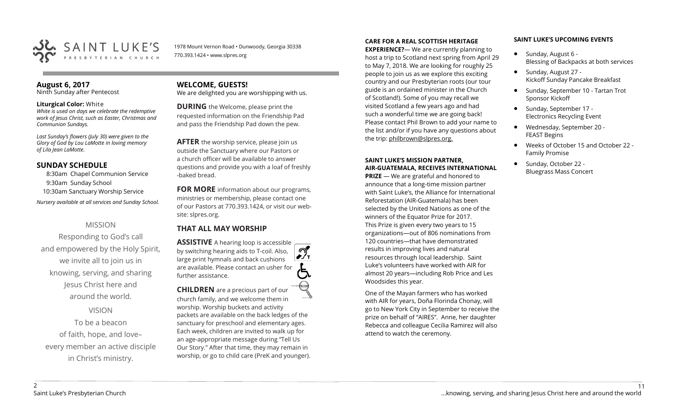

1978 Mount Vernon Road • Dunwoody, Georgia 30338 770.393.1424 • www.slpres.org

#### **August 6, 2017**

Ninth Sunday after Pentecost

#### **Liturgical Color:** White

*White is used on days we celebrate the redemptive work of Jesus Christ, such as Easter, Christmas and Communion Sundays.*

*Last Sunday's flowers (July 30) were given to the Glory of God by Lou LaMotte in loving memory of Lila Jean LaMotte.*

#### **SUNDAY SCHEDULE**

8:30am Chapel Communion Service 9:30am Sunday School 10:30am Sanctuary Worship Service *Nursery available at all services and Sunday School.* 

#### MISSION

Responding to God's call and empowered by the Holy Spirit, we invite all to join us in knowing, serving, and sharing Jesus Christ here and around the world.

VISION

To be a beacon of faith, hope, and love– every member an active disciple in Christ's ministry.

#### **WELCOME, GUESTS!**  We are delighted you are worshipping with us.

**DURING** the Welcome, please print the requested information on the Friendship Pad and pass the Friendship Pad down the pew.

**AFTER** the worship service, please join us outside the Sanctuary where our Pastors or a church officer will be available to answer questions and provide you with a loaf of freshly -baked bread.

**FOR MORE** information about our programs, ministries or membership, please contact one of our Pastors at 770.393.1424, or visit our website: slpres.org.

### **THAT ALL MAY WORSHIP**

**ASSISTIVE** A hearing loop is accessible  $\mathcal{D}_{\mathbf{r}}$ by switching hearing aids to T-coil. Also, large print hymnals and back cushions are available. Please contact an usher for further assistance.

**CHILDREN** are a precious part of our church family, and we welcome them in worship. Worship buckets and activity packets are available on the back ledges of the sanctuary for preschool and elementary ages. Each week, children are invited to walk up for an age-appropriate message during "Tell Us Our Story." After that time, they may remain in worship, or go to child care (PreK and younger).

#### **CARE FOR A REAL SCOTTISH HERITAGE**

**EXPERIENCE?**— We are currently planning to host a trip to Scotland next spring from April 29 to May 7, 2018. We are looking for roughly 25 people to join us as we explore this exciting country and our Presbyterian roots (our tour guide is an ordained minister in the Church of Scotland!). Some of you may recall we visited Scotland a few years ago and had such a wonderful time we are going back! Please contact Phil Brown to add your name to the list and/or if you have any questions about the trip: philbrown@slpres.org.

#### **SAINT LUKE'S MISSION PARTNER, AIR-GUATEMALA, RECEIVES INTERNATIONAL**

**PRIZE** — We are grateful and honored to announce that a long-time mission partner with Saint Luke's, the Alliance for International Reforestation (AIR-Guatemala) has been selected by the United Nations as one of the winners of the Equator Prize for 2017. This Prize is given every two years to 15 organizations—out of 806 nominations from 120 countries—that have demonstrated results in improving lives and natural resources through local leadership. Saint Luke's volunteers have worked with AIR for almost 20 years—including Rob Price and Les Woodsides this year.

One of the Mayan farmers who has worked with AIR for years, Doña Florinda Chonay, will go to New York City in September to receive the prize on behalf of "AIRES". Anne, her daughter Rebecca and colleague Cecilia Ramirez will also attend to watch the ceremony.

#### **SAINT LUKE'S UPCOMING EVENTS**

- Sunday, August 6 -Blessing of Backpacks at both services
- Sunday, August 27 -Kickoff Sunday Pancake Breakfast
- Sunday, September 10 Tartan Trot Sponsor Kickoff
- Sunday, September 17 -Electronics Recycling Event
- Wednesday, September 20 FEAST Begins
- Weeks of October 15 and October 22 Family Promise
- Sunday, October 22 Bluegrass Mass Concert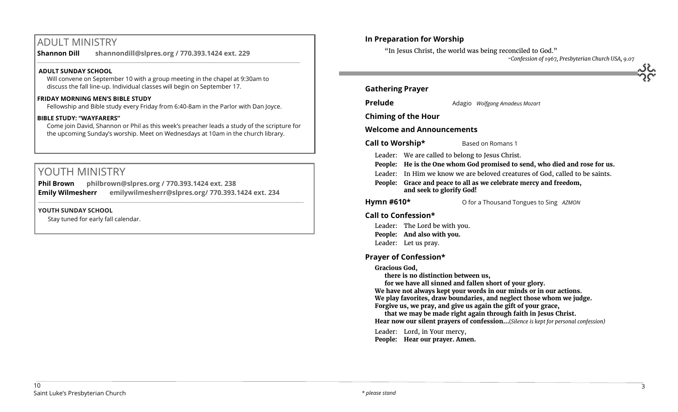# ADULT MINISTRY

**Shannon Dill shannondill@slpres.org / 770.393.1424 ext. 229** 

#### **ADULT SUNDAY SCHOOL**

Will convene on September 10 with a group meeting in the chapel at 9:30am to discuss the fall line-up. Individual classes will begin on September 17.

#### **FRIDAY MORNING MEN'S BIBLE STUDY**

Fellowship and Bible study every Friday from 6:40-8am in the Parlor with Dan Joyce.

 $\_$  ,  $\_$  ,  $\_$  ,  $\_$  ,  $\_$  ,  $\_$  ,  $\_$  ,  $\_$  ,  $\_$  ,  $\_$  ,  $\_$  ,  $\_$  ,  $\_$  ,  $\_$  ,  $\_$  ,  $\_$  ,  $\_$  ,  $\_$  ,  $\_$  ,  $\_$ 

#### **BIBLE STUDY: "WAYFARERS"**

Come join David, Shannon or Phil as this week's preacher leads a study of the scripture for the upcoming Sunday's worship. Meet on Wednesdays at 10am in the church library.

# YOUTH MINISTRY

**Phil Brown philbrown@slpres.org / 770.393.1424 ext. 238 Emily Wilmesherr emilywilmesherr@slpres.org/ 770.393.1424 ext. 234**   $\_$  ,  $\_$  ,  $\_$  ,  $\_$  ,  $\_$  ,  $\_$  ,  $\_$  ,  $\_$  ,  $\_$  ,  $\_$  ,  $\_$  ,  $\_$  ,  $\_$  ,  $\_$  ,  $\_$  ,  $\_$  ,  $\_$  ,  $\_$  ,  $\_$  ,  $\_$ 

#### **YOUTH SUNDAY SCHOOL**

Stay tuned for early fall calendar.

## **In Preparation for Worship**

"In Jesus Christ, the world was being reconciled to God."

*~Confession of 1967, Presbyterian Church USA, 9.07*

#### **Gathering Prayer**

**Prelude** Adagio *Wolfgang Amadeus Mozart* 

**Chiming of the Hour**

**Welcome and Announcements** 

**Call to Worship\*** Based on Romans 1

Leader: We are called to belong to Jesus Christ.

- **People: He is the One whom God promised to send, who died and rose for us.**
- Leader: In Him we know we are beloved creatures of God, called to be saints.
- **People: Grace and peace to all as we celebrate mercy and freedom, and seek to glorify God!**

**Hymn #610\*** O for a Thousand Tongues to Sing *AZMON*

#### **Call to Confession\***

Leader: The Lord be with you. **People: And also with you.** Leader: Let us pray.

#### **Prayer of Confession\***

#### **Gracious God,**

**there is no distinction between us,**

**for we have all sinned and fallen short of your glory.**

**We have not always kept your words in our minds or in our actions. We play favorites, draw boundaries, and neglect those whom we judge. Forgive us, we pray, and give us again the gift of your grace,**

**that we may be made right again through faith in Jesus Christ. Hear now our silent prayers of confession…**(*Silence is kept for personal confession)* 

Leader: Lord, in Your mercy,

**People: Hear our prayer. Amen.**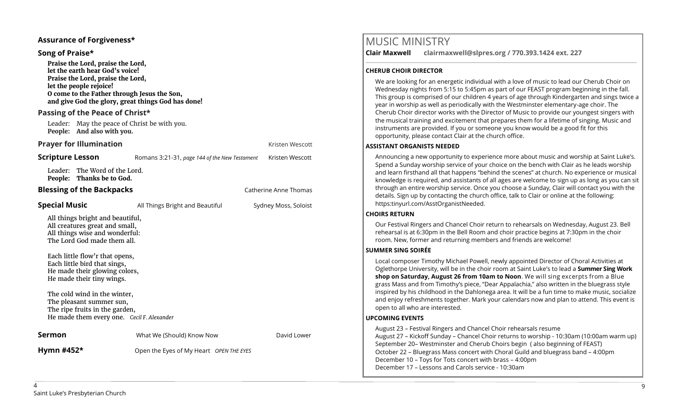#### **Assurance of Forgiveness\***

#### **Song of Praise\***

**Praise the Lord, praise the Lord, let the earth hear God's voice! Praise the Lord, praise the Lord, let the people rejoice! O come to the Father through Jesus the Son, and give God the glory, great things God has done!** 

#### **Passing of the Peace of Christ\***

Leader: May the peace of Christ be with you. **People: And also with you.**

#### **Prayer for Illumination Contract Contract Contract Contract Contract Contract Contract Contract Contract Contract Contract Contract Contract Contract Contract Contract Contract Contract Contract Contract Contract Contra**

Leader: The Word of the Lord. **People: Thanks be to God.**

#### **Blessing of the Backpacks Catherine Anne Thomas Catherine Anne Thomas**

**Special Music All Things Bright and Beautiful** Sydney Moss, Soloist All things bright and beautiful, All creatures great and small, All things wise and wonderful: The Lord God made them all. Each little flow'r that opens, Each little bird that sings, He made their glowing colors, He made their tiny wings. The cold wind in the winter, The pleasant summer sun, The ripe fruits in the garden, He made them every one. *Cecil F. Alexander* **Sermon Sermon** What We (Should) Know Now **David Lower** 

**Scripture Lesson** Romans 3:21-31, *page 144 of the New Testament* Kristen Wescott

**Hymn #452\*** Open the Eyes of My Heart *OPEN THE EYES*

# MUSIC MINISTRY

**Clair Maxwell clairmaxwell@slpres.org / 770.393.1424 ext. 227**  \_\_\_\_\_\_\_\_\_\_\_\_\_\_\_\_\_\_\_\_\_\_\_\_\_\_\_\_\_\_\_\_\_\_\_\_\_\_\_\_\_\_\_\_\_\_\_\_\_\_\_\_\_\_\_\_\_\_\_\_\_\_\_\_\_\_\_\_\_\_\_\_\_\_\_\_\_\_\_\_\_\_\_\_\_\_\_\_\_\_\_\_\_\_\_\_\_\_\_\_

#### **CHERUB CHOIR DIRECTOR**

We are looking for an energetic individual with a love of music to lead our Cherub Choir on Wednesday nights from 5:15 to 5:45pm as part of our FEAST program beginning in the fall. This group is comprised of our children 4 years of age through Kindergarten and sings twice a year in worship as well as periodically with the Westminster elementary-age choir. The Cherub Choir director works with the Director of Music to provide our youngest singers with the musical training and excitement that prepares them for a lifetime of singing. Music and instruments are provided. If you or someone you know would be a good fit for this opportunity, please contact Clair at the church office.

#### **ASSISTANT ORGANISTS NEEDED**

Announcing a new opportunity to experience more about music and worship at Saint Luke's. Spend a Sunday worship service of your choice on the bench with Clair as he leads worship and learn firsthand all that happens "behind the scenes" at church. No experience or musical knowledge is required, and assistants of all ages are welcome to sign up as long as you can sit through an entire worship service. Once you choose a Sunday, Clair will contact you with the details. Sign up by contacting the church office, talk to Clair or online at the following: https:tinyurl.com/AsstOrganistNeeded.

#### **CHOIRS RETURN**

Our Festival Ringers and Chancel Choir return to rehearsals on Wednesday, August 23. Bell rehearsal is at 6:30pm in the Bell Room and choir practice begins at 7:30pm in the choir room. New, former and returning members and friends are welcome!

#### **SUMMER SING SOIRÉE**

Local composer Timothy Michael Powell, newly appointed Director of Choral Activities at Oglethorpe University, will be in the choir room at Saint Luke's to lead a **Summer Sing Work shop on Saturday, August 26 from 10am to Noon**. We will sing excerpts from a Blue grass Mass and from Timothy's piece, "Dear Appalachia," also written in the bluegrass style inspired by his childhood in the Dahlonega area. It will be a fun time to make music, socialize and enjoy refreshments together. Mark your calendars now and plan to attend. This event is open to all who are interested.

#### **UPCOMING EVENTS**

August 23 – Festival Ringers and Chancel Choir rehearsals resume August 27 – Kickoff Sunday – Chancel Choir returns to worship - 10:30am (10:00am warm up) September 20– Westminster and Cherub Choirs begin ( also beginning of FEAST) October 22 – Bluegrass Mass concert with Choral Guild and bluegrass band – 4:00pm December 10 – Toys for Tots concert with brass – 4:00pm December 17 – Lessons and Carols service - 10:30am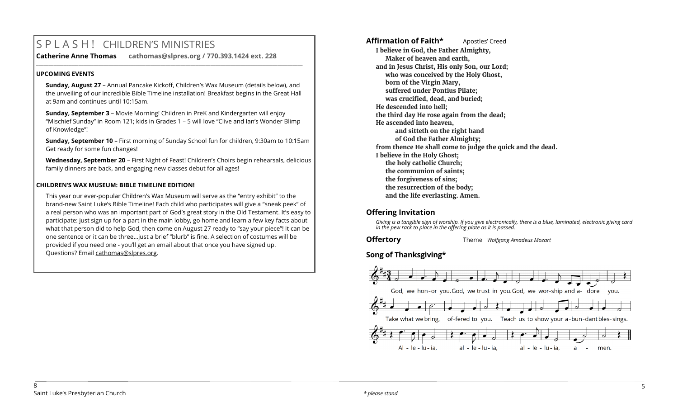# S P L A S H ! CHILDREN'S MINISTRIES

**Catherine Anne Thomas cathomas@slpres.org / 770.393.1424 ext. 228 \_\_\_\_\_\_\_\_\_\_\_\_\_\_\_\_\_\_\_\_\_\_\_\_\_\_\_\_\_\_\_\_\_\_\_\_\_\_\_\_\_\_\_\_\_\_\_\_\_\_\_\_\_\_\_\_\_\_\_\_\_\_\_\_\_\_\_\_\_\_\_\_\_\_\_\_\_\_\_\_\_\_\_\_\_\_\_\_\_\_\_\_\_\_\_\_\_\_\_\_\_\_\_\_\_\_\_** 

#### **UPCOMING EVENTS**

**Sunday, August 27** – Annual Pancake Kickoff, Children's Wax Museum (details below), and the unveiling of our incredible Bible Timeline installation! Breakfast begins in the Great Hall at 9am and continues until 10:15am.

**Sunday, September 3** – Movie Morning! Children in PreK and Kindergarten will enjoy "Mischief Sunday" in Room 121; kids in Grades 1 – 5 will love "Clive and Ian's Wonder Blimp of Knowledge"!

**Sunday, September 10** – First morning of Sunday School fun for children, 9:30am to 10:15am Get ready for some fun changes!

**Wednesday, September 20** – First Night of Feast! Children's Choirs begin rehearsals, delicious family dinners are back, and engaging new classes debut for all ages!

#### **CHILDREN'S WAX MUSEUM: BIBLE TIMELINE EDITION!**

This year our ever-popular Children's Wax Museum will serve as the "entry exhibit" to the brand-new Saint Luke's Bible Timeline! Each child who participates will give a "sneak peek" of a real person who was an important part of God's great story in the Old Testament. It's easy to participate: just sign up for a part in the main lobby, go home and learn a few key facts about what that person did to help God, then come on August 27 ready to "say your piece"! It can be one sentence or it can be three…just a brief "blurb" is fine. A selection of costumes will be provided if you need one - you'll get an email about that once you have signed up. Questions? Email [cathomas@slpres.org.](mailto:cathomas@slpres.org)

Affirmation of Faith\* **Apostles'** Creed **I believe in God, the Father Almighty, Maker of heaven and earth, and in Jesus Christ, His only Son, our Lord; who was conceived by the Holy Ghost, born of the Virgin Mary, suffered under Pontius Pilate; was crucified, dead, and buried; He descended into hell; the third day He rose again from the dead; He ascended into heaven, and sitteth on the right hand of God the Father Almighty; from thence He shall come to judge the quick and the dead. I believe in the Holy Ghost; the holy catholic Church; the communion of saints; the forgiveness of sins; the resurrection of the body; and the life everlasting. Amen.**

# **Offering Invitation**

*Giving is a tangible sign of worship. If you give electronically, there is a blue, laminated, electronic giving card in the pew rack to place in the offering plate as it is passed.*

**Offertory** Theme *Wolfgang Amadeus Mozart*

# **Song of Thanksgiving\***